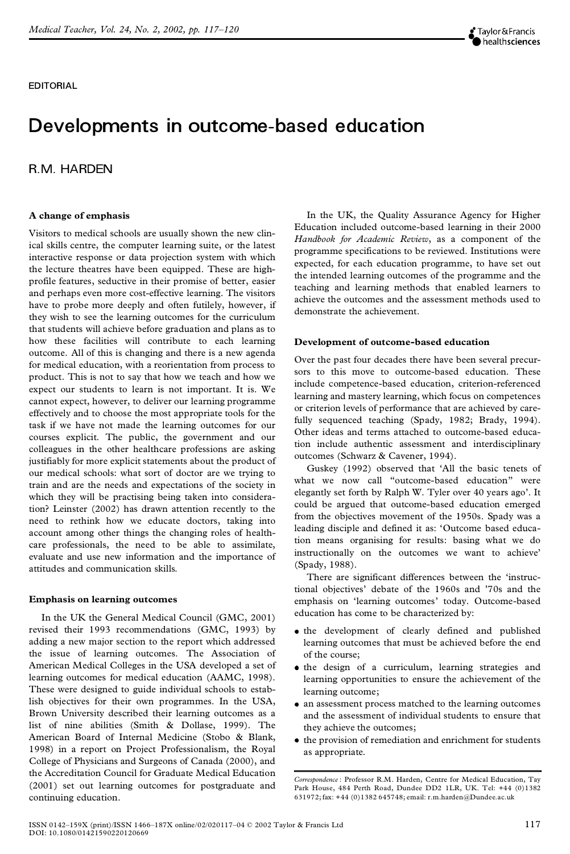

# **Developments in outcome-based education**

# R.M. HARDEN

## **A change of emphasis**

Visitors to medical schools are usually shown the new clinical skills centre, the computer learning suite, or the latest interactive response or data projection system with which the lecture theatres have been equipped. These are high profile features, seductive in their promise of better, easier and perhaps even more cost-effective learning. The visitors have to probe more deeply and often futilely, however, if they wish to see the learning outcomes for the curriculum that students will achieve before graduation and plans as to how these facilities will contribute to each learning outcome. All of this is changing and there is a new agenda for medical education, with a reorientation from process to product. This is not to say that how we teach and how we expect our students to learn is not important. It is. We cannot expect, however, to deliver our learning programme effectively and to choose the most appropriate tools for the task if we have not made the learning outcomes for our courses explicit. The public, the government and our colleagues in the other healthcare professions are asking justifiably for more explicit statements about the product of our medical schools: what sort of doctor are we trying to train and are the needs and expectations of the society in which they will be practising being taken into consideration? Leinster (2002) has drawn attention recently to the need to rethink how we educate doctors, taking into account among other things the changing roles of health care professionals, the need to be able to assimilate, evaluate and use new information and the importance of attitudes and communication skills.

#### **Emphasis on learning outcomes**

In the UK the General Medical Council (GMC, 2001) revised their 1993 recommendations (GMC, 1993) by adding a new major section to the report which addressed the issue of learning outcomes. The Association of American Medical Colleges in the USA developed a set of learning outcomes for medical education (AAMC, 1998). These were designed to guide individual schools to establish objectives for their own programmes. In the USA, Brown University described their learning outcomes as a list of nine abilities (Smith & Dollase, 1999). The American Board of Internal Medicine (Stobo & Blank, 1998) in a report on Project Professionalism, the Royal College of Physicians and Surgeons of Canada (2000), and the Accreditation Council for Graduate Medical Education (2001) set out learning outcomes for postgraduate and continuing education.

In the UK, the Quality Assurance Agency for Higher Education included outcome-based learning in their 2000 *Handbook for Academic Review*, as a component of the programme specifications to be reviewed. Institutions were expected, for each education programme, to have set out the intended learning outcomes of the programme and the teaching and learning methods that enabled learners to achieve the outcomes and the assessment methods used to demonstrate the achievement.

#### **Development of outcome-based education**

Over the past four decades there have been several precursors to this move to outcome-based education. These include competence-based education, criterion-referenced learning and mastery learning, which focus on competences or criterion levels of performance that are achieved by carefully sequenced teaching (Spady, 1982; Brady, 1994). Other ideas and terms attached to outcome-based education include authentic assessment and interdisciplinary outcomes (Schwarz & Cavener, 1994).

Guskey (1992) observed that 'All the basic tenets of what we now call "outcome-based education" were elegantly set forth by Ralph W. Tyler over 40 years ago'. It could be argued that outcome-based education emerged from the objectives movement of the 1950s. Spady was a leading disciple and defined it as: 'Outcome based education means organising for results: basing what we do instructionally on the outcomes we want to achieve' (Spady, 1988).

There are significant differences between the 'instructional objectives' debate of the 1960s and '70s and the emphasis on 'learning outcomes' today. Outcome-based education has come to be characterized by:

- $\bullet$  the development of clearly defined and published learning outcomes that must be achieved before the end of the course;
- $\bullet$  the design of a curriculum, learning strategies and learning opportunities to ensure the achievement of the learning outcome;
- an assessment process matched to the learning outcomes and the assessment of individual students to ensure that they achieve the outcomes;
- $\bullet$  the provision of remediation and enrichment for students as appropriate.

*Correspondence* : Professor R.M. Harden, Centre for Medical Education, Tay Park House, 484 Perth Road, Dundee DD2 1LR, UK. Tel: +44 (0)1382 631972; fax: +44 (0)1382 645748; email: r.m.harden@Dundee.ac.uk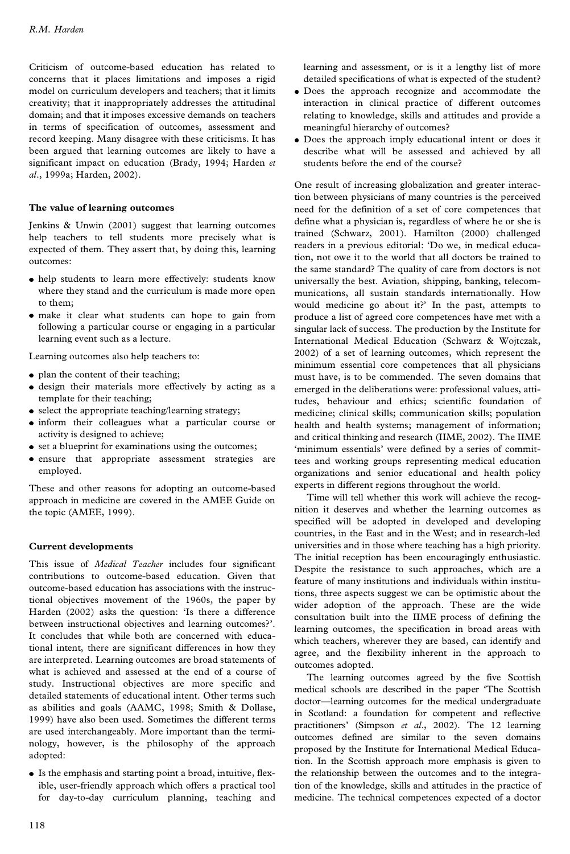Criticism of outcome-based education has related to concerns that it places limitations and imposes a rigid model on curriculum developers and teachers; that it limits creativity; that it inappropriately addresses the attitudinal domain; and that it imposes excessive demands on teachers in terms of specification of outcomes, assessment and record keeping. Many disagree with these criticisms. It has been argued that learning outcomes are likely to have a significant impact on education (Brady, 1994; Harden *et al*., 1999a; Harden, 2002).

## **The value of learning outcomes**

Jenkins & Unwin (2001) suggest that learning outcomes help teachers to tell students more precisely what is expected of them. They assert that, by doing this, learning outcomes:

- help students to learn more effectively: students know where they stand and the curriculum is made more open to them;
- make it clear what students can hope to gain from following a particular course or engaging in a particular learning event such as a lecture.

Learning outcomes also help teachers to:

- plan the content of their teaching;
- design their materials more effectively by acting as a template for their teaching;
- select the appropriate teaching/learning strategy;
- inform their colleagues what a particular course or activity is designed to achieve;
- set a blueprint for examinations using the outcomes;
- ensure that appropriate assessment strategies are employed.

These and other reasons for adopting an outcome-based approach in medicine are covered in the AMEE Guide on the topic (AMEE, 1999).

### **Current developments**

This issue of *Medical Teacher* includes four significant contributions to outcome-based education. Given that outcome-based education has associations with the instructional objectives movement of the 1960s, the paper by Harden (2002) asks the question: 'Is there a difference between instructional objectives and learning outcomes?'. It concludes that while both are concerned with educational intent, there are significant differences in how they are interpreted. Learning outcomes are broad statements of what is achieved and assessed at the end of a course of study. Instructional objectives are more specific and detailed statements of educational intent. Other terms such as abilities and goals (AAMC, 1998; Smith & Dollase, 1999) have also been used. Sometimes the different terms are used interchangeably. More important than the termi nology, however, is the philosophy of the approach adopted:

Is the emphasis and starting point a broad, intuitive, flexible, user-friendly approach which offers a practical tool for day-to-day curriculum planning, teaching and learning and assessment, or is it a lengthy list of more detailed specifications of what is expected of the student?

- Does the approach recognize and accommodate the interaction in clinical practice of different outcomes relating to knowledge, skills and attitudes and provide a meaningful hierarchy of outcomes?
- Does the approach imply educational intent or does it describe what will be assessed and achieved by all students before the end of the course?

One result of increasing globalization and greater interaction between physicians of many countries is the perceived need for the definition of a set of core competences that define what a physician is, regardless of where he or she is trained (Schwarz, 2001). Hamilton (2000) challenged readers in a previous editorial: 'Do we, in medical education, not owe it to the world that all doctors be trained to the same standard? The quality of care from doctors is not universally the best. Aviation, shipping, banking, telecom munications, all sustain standards internationally. How would medicine go about it?' In the past, attempts to produce a list of agreed core competences have met with a singular lack of success. The production by the Institute for International Medical Education (Schwarz & Wojtczak, 2002) of a set of learning outcomes, which represent the minimum essential core competences that all physicians must have, is to be commended. The seven domains that emerged in the deliberations were: professional values, attitudes, behaviour and ethics; scientific foundation of medicine; clinical skills; communication skills; population health and health systems; management of information; and critical thinking and research (IIME, 2002). The IIME 'minimum essentials' were defined by a series of committees and working groups representing medical education organizations and senior educational and health policy experts in different regions throughout the world.

Time will tell whether this work will achieve the recog nition it deserves and whether the learning outcomes as specified will be adopted in developed and developing countries, in the East and in the West; and in research-led universities and in those where teaching has a high priority. The initial reception has been encouragingly enthusiastic. Despite the resistance to such approaches, which are a feature of many institutions and individuals within institutions, three aspects suggest we can be optimistic about the wider adoption of the approach. These are the wide consultation built into the IIME process of defining the learning outcomes, the specification in broad areas with which teachers, wherever they are based, can identify and agree, and the flexibility inherent in the approach to outcomes adopted.

The learning outcomes agreed by the five Scottish medical schools are described in the paper 'The Scottish doctor—learning outcomes for the medical undergraduate in Scotland: a foundation for competent and reflective practitioners' (Simpson *et al*., 2002). The 12 learning outcomes defined are similar to the seven domains proposed by the Institute for International Medical Education. In the Scottish approach more emphasis is given to the relationship between the outcomes and to the integration of the knowledge, skills and attitudes in the practice of medicine. The technical competences expected of a doctor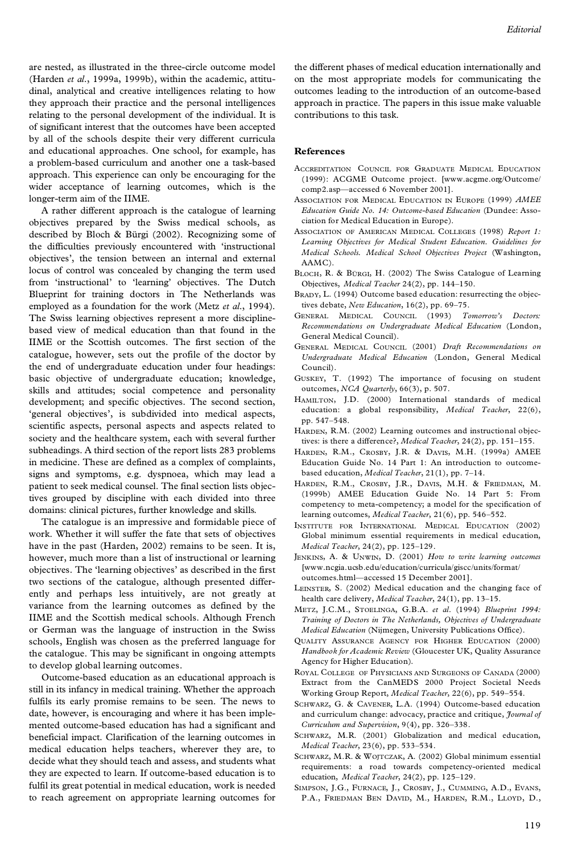are nested, as illustrated in the three-circle outcome model (Harden *et al*., 1999a, 1999b), within the academic, attitu dinal, analytical and creative intelligences relating to how they approach their practice and the personal intelligences relating to the personal development of the individual. It is of significant interest that the outcomes have been accepted by all of the schools despite their very different curricula and educational approaches. One school, for example, has a problem-based curriculum and another one a task-based approach. This experience can only be encouraging for the wider acceptance of learning outcomes, which is the longer-term aim of the IIME.

A rather different approach is the catalogue of learning objectives prepared by the Swiss medical schools, as described by Bloch & Bürgi (2002). Recognizing some of the difficulties previously encountered with 'instructional objectives', the tension between an internal and external locus of control was concealed by changing the term used from 'instructional' to 'learning' objectives. The Dutch Blueprint for training doctors in The Netherlands was employed as a foundation for the work (Metz *et al*., 1994). The Swiss learning objectives represent a more discipline based view of medical education than that found in the IIME or the Scottish outcomes. The first section of the catalogue, however, sets out the profile of the doctor by the end of undergraduate education under four headings: basic objective of undergraduate education; knowledge, skills and attitudes; social competence and personality development; and specific objectives. The second section, 'general objectives', is subdivided into medical aspects, scientific aspects, personal aspects and aspects related to society and the healthcare system, each with several further subheadings. A third section of the report lists 283 problems in medicine. These are defined as a complex of complaints, signs and symptoms, e.g. dyspnoea, which may lead a patient to seek medical counsel. The final section lists objectives grouped by discipline with each divided into three domains: clinical pictures, further knowledge and skills.

The catalogue is an impressive and formidable piece of work. Whether it will suffer the fate that sets of objectives have in the past (Harden, 2002) remains to be seen. It is, however, much more than a list of instructional or learning objectives. The 'learning objectives' as described in the first two sections of the catalogue, although presented differ ently and perhaps less intuitively, are not greatly at variance from the learning outcomes as defined by the IIME and the Scottish medical schools. Although French or German was the language of instruction in the Swiss schools, English was chosen as the preferred language for the catalogue. This may be significant in ongoing attempts to develop global learning outcomes.

Outcome-based education as an educational approach is still in its infancy in medical training. Whether the approach fulfils its early promise remains to be seen. The news to date, however, is encouraging and where it has been imple mented outcome-based education has had a significant and beneficial impact. Clarification of the learning outcomes in medical education helps teachers, wherever they are, to decide what they should teach and assess, and students what they are expected to learn. If outcome-based education is to fulfil its great potential in medical education, work is needed to reach agreement on appropriate learning outcomes for the different phases of medical education internationally and on the most appropriate models for communicating the outcomes leading to the introduction of an outcome-based approach in practice. The papers in this issue make valuable contributions to this task.

## **References**

- ACCREDITATION COUNCIL FOR GRADUATE MEDICAL EDUCATION (1999): ACGME Outcome project. [www.acgme.org/Outcome/ comp2.asp—accessed 6 November 2001].
- ASSOCIATION FOR MEDICAL EDUCATION IN EUROPE (1999) *AMEE Education Guide No. 14: Outcome-based Education* (Dundee: Asso ciation for Medical Education in Europe).
- ASSOCIATION OF AMERICAN MEDICAL COLLEGES (1998) *Report 1: Learning Objectives for Medical Student Education. Guidelines for Medical Schools. Medical School Objectives Project* (Washington, AAMC).
- BLOCH, R. & BÜRGI, H. (2002) The Swiss Catalogue of Learning Objectives, *Medical Teacher* 24(2), pp. 144–150.
- BRADY, L. (1994) Outcome based education: resurrecting the objectives debate, *New Education*, 16(2), pp. 69–75.
- GENERAL MEDICAL COUNCIL (1993) *Tomorrow's Doctors: Recommendations on Undergraduate Medical Education* (London, General Medical Council).
- GENERAL MEDICAL COUNCIL (2001) *Draft Recommendations on Undergraduate Medical Education* (London, General Medical Council).
- GUSKEY, T. (1992) The importance of focusing on student outcomes, *NCA Quarterly*, 66(3), p. 507.
- HAMILTON, J.D. (2000) International standards of medical education: a global responsibility, *Medical Teacher*, 22(6), pp. 547–548.
- HARDEN, R.M. (2002) Learning outcomes and instructional objectives: is there a difference?, *Medical Teacher*, 24(2), pp. 151–155.
- HARDEN, R.M., CROSBY, J.R. & DAVIS, M.H. (1999a) AMEE Education Guide No. 14 Part 1: An introduction to outcome based education, *Medical Teacher*, 21(1), pp. 7–14.
- HARDEN, R.M., CROSBY, J.R., DAVIS, M.H. & FRIEDMAN, M. (1999b) AMEE Education Guide No. 14 Part 5: From competency to meta-competency; a model for the specification of learning outcomes, *Medical Teacher*, 21(6), pp. 546–552.
- INSTITUTE FOR INTERNATIONAL MEDICAL EDUCATION (2002) Global minimum essential requirements in medical education, *Medical Teacher*, 24(2), pp. 125–129.
- JENKINS, A. & UNWIN, D. (2001) *How to write learning outcomes* [www.ncgia.ucsb.edu/education/curricula/giscc/units/format/ outcomes.html—accessed 15 December 2001].
- LEINSTER, S. (2002) Medical education and the changing face of health care delivery, *Medical Teacher*, 24(1), pp. 13–15.
- METZ, J.C.M., STOELINGA, G.B.A. *et al*. (1994) *Blueprint 1994: Training of Doctors in The Netherlands, Objectives of Undergraduate Medical Education* (Nijmegen, University Publications Office).
- QUALITY ASSURANCE AGENCY FOR HIGHER EDUCATION (2000) *Handbook for Academic Review* (Gloucester UK, Quality Assurance Agency for Higher Education).
- ROYAL COLLEGE OF PHYSICIANS AND SURGEONS OF CANADA (2000) Extract from the CanMEDS 2000 Project Societal Needs Working Group Report, *Medical Teacher*, 22(6), pp. 549–554.
- SCHWARZ, G. & CAVENER, L.A. (1994) Outcome-based education and curriculum change: advocacy, practice and critique, *Journal of Curriculum and Supervision*, 9(4), pp. 326–338.
- SCHWARZ, M.R. (2001) Globalization and medical education, *Medical Teacher*, 23(6), pp. 533–534.
- SCHWARZ, M.R. & WOJTCZAK, A. (2002) Global minimum essential requirements: a road towards competency-oriented medical education, *Medical Teacher*, 24(2), pp. 125–129.
- SIMPSON, J.G., FURNACE, J., CROSBY, J., CUMMING, A.D., EVANS, P.A., FRIEDMAN BEN DAVID, M., HARDEN, R.M., LLOYD, D.,